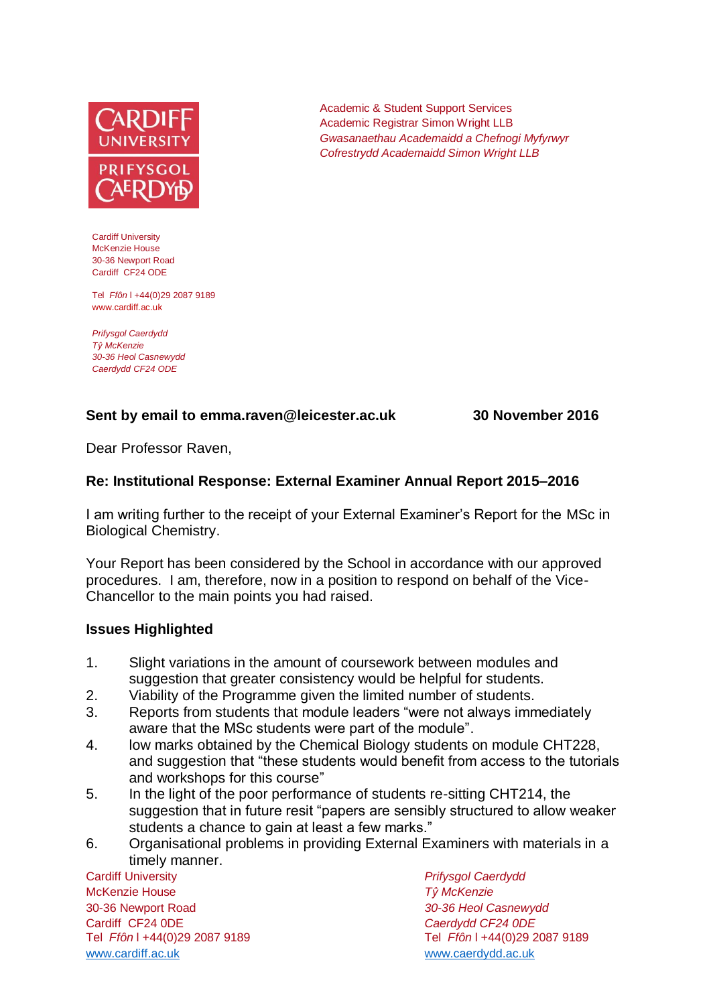

Cardiff University McKenzie House 30-36 Newport Road Cardiff CF24 ODE

Tel *Ffôn* l +44(0)29 2087 9189 www.cardiff.ac.uk

*Prifysgol Caerdydd Tŷ McKenzie 30-36 Heol Casnewydd Caerdydd CF24 ODE*

### **Sent by email to emma.raven@leicester.ac.uk 30 November 2016**

Dear Professor Raven,

### **Re: Institutional Response: External Examiner Annual Report 2015–2016**

I am writing further to the receipt of your External Examiner's Report for the MSc in Biological Chemistry.

Academic & Student Support Services Academic Registrar Simon Wright LLB

*Gwasanaethau Academaidd a Chefnogi Myfyrwyr Cofrestrydd Academaidd Simon Wright LLB*

Your Report has been considered by the School in accordance with our approved procedures. I am, therefore, now in a position to respond on behalf of the Vice-Chancellor to the main points you had raised.

#### **Issues Highlighted**

- 1. Slight variations in the amount of coursework between modules and suggestion that greater consistency would be helpful for students.
- 2. Viability of the Programme given the limited number of students.
- 3. Reports from students that module leaders "were not always immediately aware that the MSc students were part of the module".
- 4. low marks obtained by the Chemical Biology students on module CHT228, and suggestion that "these students would benefit from access to the tutorials and workshops for this course"
- 5. In the light of the poor performance of students re-sitting CHT214, the suggestion that in future resit "papers are sensibly structured to allow weaker students a chance to gain at least a few marks."
- 6. Organisational problems in providing External Examiners with materials in a timely manner.

Cardiff University *Prifysgol Caerdydd* McKenzie House *Tŷ McKenzie* 30-36 Newport Road *30-36 Heol Casnewydd* Cardiff CF24 0DE *Caerdydd CF24 0DE* [www.cardiff.ac.uk](http://www.cardiff.ac.uk/) www.cardiff.ac.uk

Tel *Ffôn* l +44(0)29 2087 9189 Tel *Ffôn* l +44(0)29 2087 9189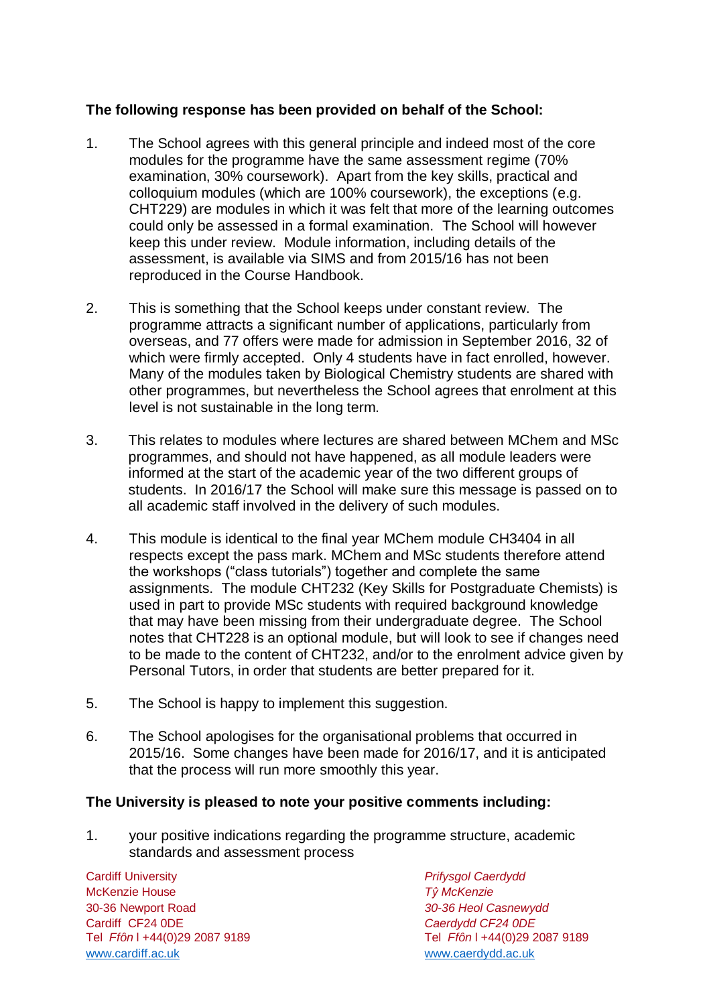## **The following response has been provided on behalf of the School:**

- 1. The School agrees with this general principle and indeed most of the core modules for the programme have the same assessment regime (70% examination, 30% coursework). Apart from the key skills, practical and colloquium modules (which are 100% coursework), the exceptions (e.g. CHT229) are modules in which it was felt that more of the learning outcomes could only be assessed in a formal examination. The School will however keep this under review. Module information, including details of the assessment, is available via SIMS and from 2015/16 has not been reproduced in the Course Handbook.
- 2. This is something that the School keeps under constant review. The programme attracts a significant number of applications, particularly from overseas, and 77 offers were made for admission in September 2016, 32 of which were firmly accepted. Only 4 students have in fact enrolled, however. Many of the modules taken by Biological Chemistry students are shared with other programmes, but nevertheless the School agrees that enrolment at this level is not sustainable in the long term.
- 3. This relates to modules where lectures are shared between MChem and MSc programmes, and should not have happened, as all module leaders were informed at the start of the academic year of the two different groups of students. In 2016/17 the School will make sure this message is passed on to all academic staff involved in the delivery of such modules.
- 4. This module is identical to the final year MChem module CH3404 in all respects except the pass mark. MChem and MSc students therefore attend the workshops ("class tutorials") together and complete the same assignments. The module CHT232 (Key Skills for Postgraduate Chemists) is used in part to provide MSc students with required background knowledge that may have been missing from their undergraduate degree. The School notes that CHT228 is an optional module, but will look to see if changes need to be made to the content of CHT232, and/or to the enrolment advice given by Personal Tutors, in order that students are better prepared for it.
- 5. The School is happy to implement this suggestion.
- 6. The School apologises for the organisational problems that occurred in 2015/16. Some changes have been made for 2016/17, and it is anticipated that the process will run more smoothly this year.

# **The University is pleased to note your positive comments including:**

1. your positive indications regarding the programme structure, academic standards and assessment process

Cardiff University *Prifysgol Caerdydd* McKenzie House *Tŷ McKenzie* 30-36 Newport Road *30-36 Heol Casnewydd* Tel *Ffôn* l +44(0)29 2087 9189 Tel *Ffôn* l +44(0)29 2087 9189 [www.cardiff.ac.uk](http://www.cardiff.ac.uk/) [www.caerdydd.ac.uk](http://www.caerdydd.ac.uk/)

Cardiff CF24 0DE *Caerdydd CF24 0DE*